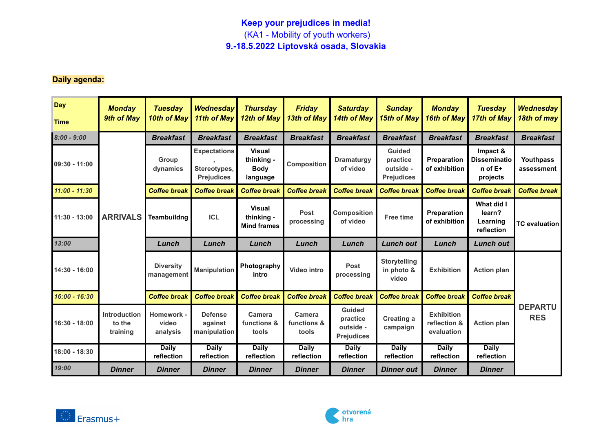## **Keep your prejudices in media!** (KA1 - Mobility of youth workers) **9.-18.5.2022 Liptovská osada, Slovakia**

## **Daily agenda:**

| <b>Day</b><br><b>Time</b> | <b>Monday</b><br>9th of May               | <b>Tuesday</b><br>10th of May   | <b>Wednesday</b><br>11th of May                          | <b>Thursday</b><br>12th of May                         | <b>Friday</b><br>13th of May   | <b>Saturday</b><br>14th of May                              | <b>Sunday</b><br><b>15th of May</b>                         | <b>Monday</b><br>16th of May                    | <b>Tuesday</b><br>17th of May                              | <b>Wednesday</b><br>18th of may |  |
|---------------------------|-------------------------------------------|---------------------------------|----------------------------------------------------------|--------------------------------------------------------|--------------------------------|-------------------------------------------------------------|-------------------------------------------------------------|-------------------------------------------------|------------------------------------------------------------|---------------------------------|--|
| $8:00 - 9:00$             | <b>ARRIVALS</b>                           | <b>Breakfast</b>                | <b>Breakfast</b>                                         | <b>Breakfast</b>                                       | <b>Breakfast</b>               | <b>Breakfast</b>                                            | <b>Breakfast</b>                                            | <b>Breakfast</b>                                | <b>Breakfast</b>                                           | <b>Breakfast</b>                |  |
| 09:30 - 11:00             |                                           | <b>Group</b><br>dynamics        | <b>Expectations</b><br>Stereotypes,<br><b>Prejudices</b> | <b>Visual</b><br>thinking -<br><b>Body</b><br>language | <b>Composition</b>             | <b>Dramaturgy</b><br>of video                               | <b>Guided</b><br>practice<br>outside -<br><b>Prejudices</b> | <b>Preparation</b><br>of exhibition             | Impact &<br><b>Disseminatio</b><br>$n$ of $E+$<br>projects | Youthpass<br>assessment         |  |
| $11:00 - 11:30$           |                                           | <b>Coffee break</b>             | <b>Coffee break</b>                                      | <b>Coffee break</b>                                    | <b>Coffee break</b>            | <b>Coffee break</b>                                         | <b>Coffee break</b>                                         | <b>Coffee break</b>                             | <b>Coffee break</b>                                        | <b>Coffee break</b>             |  |
| 11:30 - 13:00             |                                           | Teambuildng                     | <b>ICL</b>                                               | <b>Visual</b><br>thinking -<br><b>Mind frames</b>      | Post<br>processing             | <b>Composition</b><br>of video                              | <b>Free time</b>                                            | Preparation<br>of exhibition                    | What did I<br>learn?<br>Learning<br>reflection             | TC evaluation                   |  |
| 13:00                     |                                           | Lunch                           | Lunch                                                    | Lunch                                                  | Lunch                          | Lunch                                                       | <b>Lunch out</b>                                            | Lunch                                           | <b>Lunch out</b>                                           |                                 |  |
| 14:30 - 16:00             |                                           | <b>Diversity</b><br>management  | <b>Manipulation</b>                                      | Photography<br>intro                                   | <b>Video intro</b>             | <b>Post</b><br>processing                                   | <b>Storytelling</b><br>in photo &<br>video                  | <b>Exhibition</b>                               | <b>Action plan</b>                                         |                                 |  |
| $16:00 - 16:30$           |                                           | <b>Coffee break</b>             | <b>Coffee break</b>                                      | <b>Coffee break</b>                                    | <b>Coffee break</b>            | <b>Coffee break</b>                                         | <b>Coffee break</b>                                         | <b>Coffee break</b>                             | <b>Coffee break</b>                                        |                                 |  |
| 16:30 - 18:00             | <b>Introduction</b><br>to the<br>training | Homework -<br>video<br>analysis | <b>Defense</b><br>against<br>manipulation                | Camera<br>functions &<br>tools                         | Camera<br>functions &<br>tools | <b>Guided</b><br>practice<br>outside -<br><b>Prejudices</b> | <b>Creating a</b><br>campaign                               | <b>Exhibition</b><br>reflection &<br>evaluation | <b>Action plan</b>                                         | <b>DEPARTU</b><br><b>RES</b>    |  |
| 18:00 - 18:30             |                                           | <b>Daily</b><br>reflection      | <b>Daily</b><br>reflection                               | <b>Daily</b><br>reflection                             | <b>Daily</b><br>reflection     | <b>Daily</b><br>reflection                                  | <b>Daily</b><br>reflection                                  | <b>Daily</b><br>reflection                      | <b>Daily</b><br>reflection                                 |                                 |  |
| 19:00                     | <b>Dinner</b>                             | <b>Dinner</b>                   | <b>Dinner</b>                                            | <b>Dinner</b>                                          | <b>Dinner</b>                  | <b>Dinner</b>                                               | <b>Dinner out</b>                                           | <b>Dinner</b>                                   | <b>Dinner</b>                                              |                                 |  |